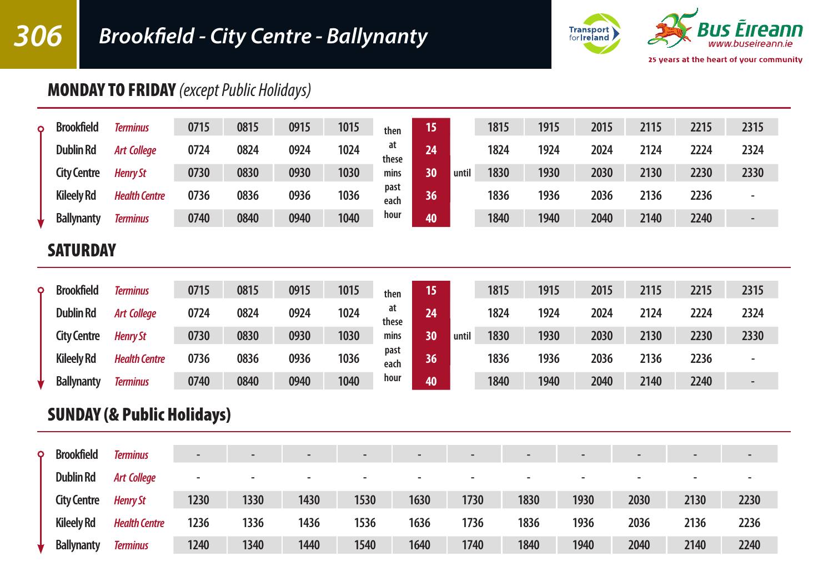# *306 Brookfield - City Centre - Ballynanty*



## MONDAY TO FRIDAY *(except Public Holidays)*

| Ω | <b>Brookfield</b>  | <b>Terminus</b>      | 0715 | 0815 | 0915 | 1015 | then         | 15 |       | 1815 | 1915 | 2015 | 2115 | 2215 | 2315                     |
|---|--------------------|----------------------|------|------|------|------|--------------|----|-------|------|------|------|------|------|--------------------------|
|   | <b>Dublin Rd</b>   | <b>Art College</b>   | 0724 | 0824 | 0924 | 1024 | at<br>these  | 24 |       | 1824 | 1924 | 2024 | 2124 | 2224 | 2324                     |
|   | <b>City Centre</b> | <b>Henry St</b>      | 0730 | 0830 | 0930 | 1030 | mins         | 30 | until | 1830 | 1930 | 2030 | 2130 | 2230 | 2330                     |
|   | <b>Kileelv Rd</b>  | <b>Health Centre</b> | 0736 | 0836 | 0936 | 1036 | past<br>each | 36 |       | 1836 | 1936 | 2036 | 2136 | 2236 | $\overline{\phantom{a}}$ |
|   | <b>Ballynanty</b>  | <b>Terminus</b>      | 0740 | 0840 | 0940 | 1040 | hour         | 40 |       | 1840 | 1940 | 2040 | 2140 | 2240 | -                        |

### **SATURDAY**

| Ο | <b>Brookfield</b>  | Terminus             | 0715 | 0815 | 0915 | 1015 | then         | 15 |       | 1815 | 1915 | 2015 | 2115 | 2215 | 2315 |
|---|--------------------|----------------------|------|------|------|------|--------------|----|-------|------|------|------|------|------|------|
|   | <b>Dublin Rd</b>   | <b>Art College</b>   | 0724 | 0824 | 0924 | 1024 | at<br>these  | 24 |       | 1824 | 1924 | 2024 | 2124 | 2224 | 2324 |
|   | <b>City Centre</b> | <b>Henry St</b>      | 0730 | 0830 | 0930 | 1030 | mins         | 30 | until | 1830 | 1930 | 2030 | 2130 | 2230 | 2330 |
|   | <b>Kileelv Rd</b>  | <b>Health Centre</b> | 0736 | 0836 | 0936 | 1036 | past<br>each | 36 |       | 1836 | 1936 | 2036 | 2136 | 2236 |      |
|   | <b>Ballynanty</b>  | <b>Terminus</b>      | 0740 | 0840 | 0940 | 1040 | hour         | 40 |       | 1840 | 1940 | 2040 | 2140 | 2240 |      |

## SUNDAY (& Public Holidays)

| $\circ$ | <b>Brookfield</b>  | <b>Terminus</b>      | $\overline{\phantom{a}}$ |      | $\overline{\phantom{0}}$ | -    | $\blacksquare$           |      | $\overline{\phantom{0}}$ |      | $\overline{\phantom{0}}$ |      | $\overline{\phantom{0}}$ |
|---------|--------------------|----------------------|--------------------------|------|--------------------------|------|--------------------------|------|--------------------------|------|--------------------------|------|--------------------------|
|         | <b>Dublin Rd</b>   | <b>Art College</b>   | $\overline{\phantom{a}}$ |      | $\overline{\phantom{a}}$ | -    | $\overline{\phantom{0}}$ |      | $\overline{\phantom{a}}$ |      | $\overline{\phantom{a}}$ |      |                          |
|         | <b>City Centre</b> | <b>Henry St</b>      | 1230                     | 1330 | 1430                     | 1530 | 1630                     | 1730 | 1830                     | 1930 | 2030                     | 2130 | 2230                     |
|         | <b>Kileely Rd</b>  | <b>Health Centre</b> | 1236                     | 1336 | 1436                     | 1536 | 1636                     | 1736 | 1836                     | 1936 | 2036                     | 2136 | 2236                     |
|         | <b>Ballynanty</b>  | <b>Terminus</b>      | 1240                     | 1340 | 1440                     | 1540 | 1640                     | 1740 | 1840                     | 1940 | 2040                     | 2140 | 2240                     |